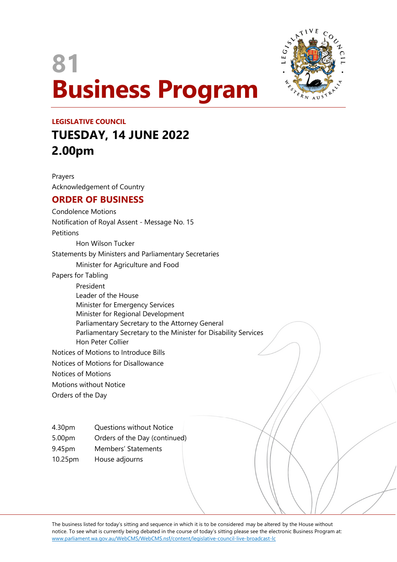# **81 Business Program**



## **LEGISLATIVE COUNCIL TUESDAY, 14 JUNE 2022 2.00pm**

Prayers Acknowledgement of Country

### **ORDER OF BUSINESS**

Condolence Motions Notification of Royal Assent - Message No. 15 Petitions Hon Wilson Tucker Statements by Ministers and Parliamentary Secretaries Minister for Agriculture and Food Papers for Tabling President Leader of the House Minister for Emergency Services Minister for Regional Development Parliamentary Secretary to the Attorney General Parliamentary Secretary to the Minister for Disability Services Hon Peter Collier Notices of Motions to Introduce Bills Notices of Motions for Disallowance Notices of Motions Motions without Notice Orders of the Day

- 4.30pm Questions without Notice
- 5.00pm Orders of the Day (continued)
- 9.45pm Members' Statements
- 10.25pm House adjourns

The business listed for today's sitting and sequence in which it is to be considered may be altered by the House without notice. To see what is currently being debated in the course of today's sitting please see the electronic Business Program at: <www.parliament.wa.gov.au/WebCMS/WebCMS.nsf/content/legislative-council-live-broadcast-lc>